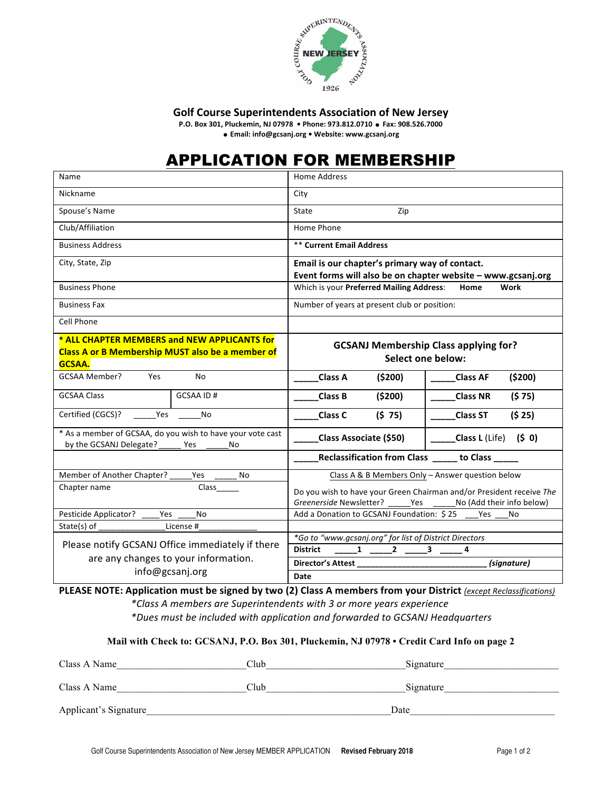

**Golf Course Superintendents Association of New Jersey** 

**P.O. Box 301, Pluckemin, NJ 07978 · Phone: 973.812.0710 · Fax: 908.526.7000** 

! **Email: info@gcsanj.org • Website: www.gcsanj.org**

# APPLICATION FOR MEMBERSHIP

| Name                                                                                                                     | <b>Home Address</b>                                                                                                              |
|--------------------------------------------------------------------------------------------------------------------------|----------------------------------------------------------------------------------------------------------------------------------|
| Nickname                                                                                                                 | City                                                                                                                             |
| Spouse's Name                                                                                                            | State<br>Zip                                                                                                                     |
| Club/Affiliation                                                                                                         | Home Phone                                                                                                                       |
| <b>Business Address</b>                                                                                                  | <b>** Current Email Address</b>                                                                                                  |
| City, State, Zip                                                                                                         | Email is our chapter's primary way of contact.                                                                                   |
|                                                                                                                          | Event forms will also be on chapter website - www.gcsanj.org                                                                     |
| <b>Business Phone</b>                                                                                                    | Which is your Preferred Mailing Address:<br>Home<br>Work                                                                         |
| <b>Business Fax</b>                                                                                                      | Number of years at present club or position:                                                                                     |
| Cell Phone                                                                                                               |                                                                                                                                  |
| * ALL CHAPTER MEMBERS and NEW APPLICANTS for<br><b>Class A or B Membership MUST also be a member of</b><br><b>GCSAA.</b> | <b>GCSANJ Membership Class applying for?</b><br><b>Select one below:</b>                                                         |
| GCSAA Member?<br><b>Yes</b><br>N <sub>0</sub>                                                                            | ( \$200)<br><b>Class A</b><br>(\$200)<br><b>Class AF</b>                                                                         |
| <b>GCSAA Class</b><br><b>GCSAA ID#</b>                                                                                   | Class B<br>(5200)<br><b>Class NR</b><br>(575)                                                                                    |
| Certified (CGCS)?<br>Yes<br>No                                                                                           | (575)<br>(525)<br><b>Class C</b><br><b>Class ST</b>                                                                              |
| * As a member of GCSAA, do you wish to have your vote cast<br>by the GCSANJ Delegate?<br>Yes<br>No                       | Class L (Life) $(5 0)$<br>Class Associate (\$50)                                                                                 |
|                                                                                                                          | Reclassification from Class _____ to Class _____                                                                                 |
| Member of Another Chapter?<br>Yes<br>No                                                                                  | Class A & B Members Only - Answer question below                                                                                 |
| Chapter name<br>Class                                                                                                    | Do you wish to have your Green Chairman and/or President receive The<br>Greenerside Newsletter? Yes<br>No (Add their info below) |
| Pesticide Applicator?<br>N <sub>0</sub><br><b>Yes</b>                                                                    | Add a Donation to GCSANJ Foundation: \$25<br>Yes<br>No                                                                           |
| State(s) of<br>License #                                                                                                 |                                                                                                                                  |
| Please notify GCSANJ Office immediately if there                                                                         | *Go to "www.gcsanj.org" for list of District Directors<br><b>District</b><br>$\begin{array}{cccc} 1 & 2 & 3 \end{array}$         |
| are any changes to your information.                                                                                     | (signature)                                                                                                                      |
| info@gcsanj.org                                                                                                          | Date                                                                                                                             |

**PLEASE NOTE: Application must be signed by two (2) Class A members from your District (except Reclassifications)** *\*Class A members are Superintendents with 3 or more years experience \*Dues must be included with application and forwarded to GCSANJ Headquarters*

#### **Mail with Check to: GCSANJ, P.O. Box 301, Pluckemin, NJ 07978 • Credit Card Info on page 2**

| Class A Name          | Club | Signature |
|-----------------------|------|-----------|
| Class A Name          | Club | Signature |
|                       |      |           |
| Applicant's Signature | Date |           |